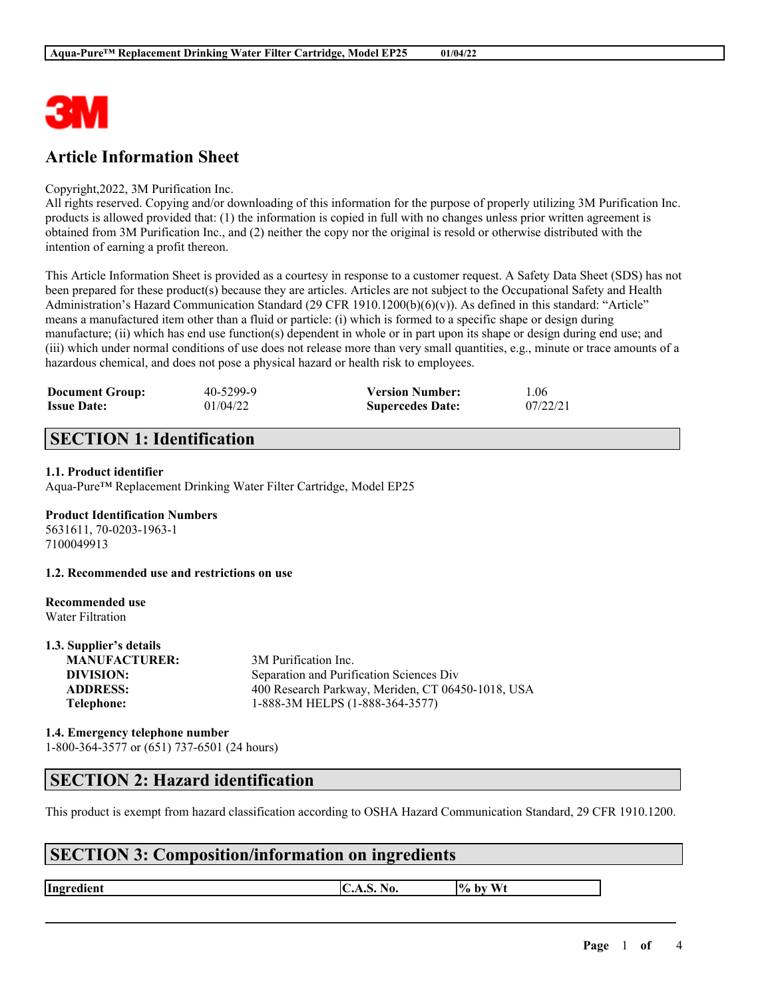

# **Article Information Sheet**

#### Copyright,2022, 3M Purification Inc.

All rights reserved. Copying and/or downloading of this information for the purpose of properly utilizing 3M Purification Inc. products is allowed provided that: (1) the information is copied in full with no changes unless prior written agreement is obtained from 3M Purification Inc., and (2) neither the copy nor the original is resold or otherwise distributed with the intention of earning a profit thereon.

This Article Information Sheet is provided as a courtesy in response to a customer request. A Safety Data Sheet (SDS) has not been prepared for these product(s) because they are articles. Articles are not subject to the Occupational Safety and Health Administration's Hazard Communication Standard (29 CFR 1910.1200(b)(6)(v)). As defined in this standard: "Article" means a manufactured item other than a fluid or particle: (i) which is formed to a specific shape or design during manufacture; (ii) which has end use function(s) dependent in whole or in part upon its shape or design during end use; and (iii) which under normal conditions of use does not release more than very small quantities, e.g., minute or trace amounts of a hazardous chemical, and does not pose a physical hazard or health risk to employees.

| <b>Document Group:</b> | 40-5299-9 | <b>Version Number:</b>  | 1.06     |
|------------------------|-----------|-------------------------|----------|
| <b>Issue Date:</b>     | 01/04/22  | <b>Supercedes Date:</b> | 07/22/21 |

# **SECTION 1: Identification**

#### **1.1. Product identifier**

Aqua-Pure™ Replacement Drinking Water Filter Cartridge, Model EP25

#### **Product Identification Numbers**

5631611, 70-0203-1963-1 7100049913

**1.2. Recommended use and restrictions on use**

#### **Recommended use** Water Filtration

**1.3. Supplier's details**

| 1.3. Supplier's details |                                                   |
|-------------------------|---------------------------------------------------|
| <b>MANUFACTURER:</b>    | 3M Purification Inc.                              |
| DIVISION:               | Separation and Purification Sciences Div          |
| <b>ADDRESS:</b>         | 400 Research Parkway, Meriden, CT 06450-1018, USA |
| Telephone:              | 1-888-3M HELPS (1-888-364-3577)                   |
|                         |                                                   |

#### **1.4. Emergency telephone number** 1-800-364-3577 or (651) 737-6501 (24 hours)

### **SECTION 2: Hazard identification**

This product is exempt from hazard classification according to OSHA Hazard Communication Standard, 29 CFR 1910.1200.

 $\mathcal{L}_\mathcal{L} = \mathcal{L}_\mathcal{L} = \mathcal{L}_\mathcal{L} = \mathcal{L}_\mathcal{L} = \mathcal{L}_\mathcal{L} = \mathcal{L}_\mathcal{L} = \mathcal{L}_\mathcal{L} = \mathcal{L}_\mathcal{L} = \mathcal{L}_\mathcal{L} = \mathcal{L}_\mathcal{L} = \mathcal{L}_\mathcal{L} = \mathcal{L}_\mathcal{L} = \mathcal{L}_\mathcal{L} = \mathcal{L}_\mathcal{L} = \mathcal{L}_\mathcal{L} = \mathcal{L}_\mathcal{L} = \mathcal{L}_\mathcal{L}$ 

## **SECTION 3: Composition/information on ingredients**

**Ingredient C.A.S.** No.  $\begin{bmatrix} \phi & \phi \end{bmatrix}$  by Wt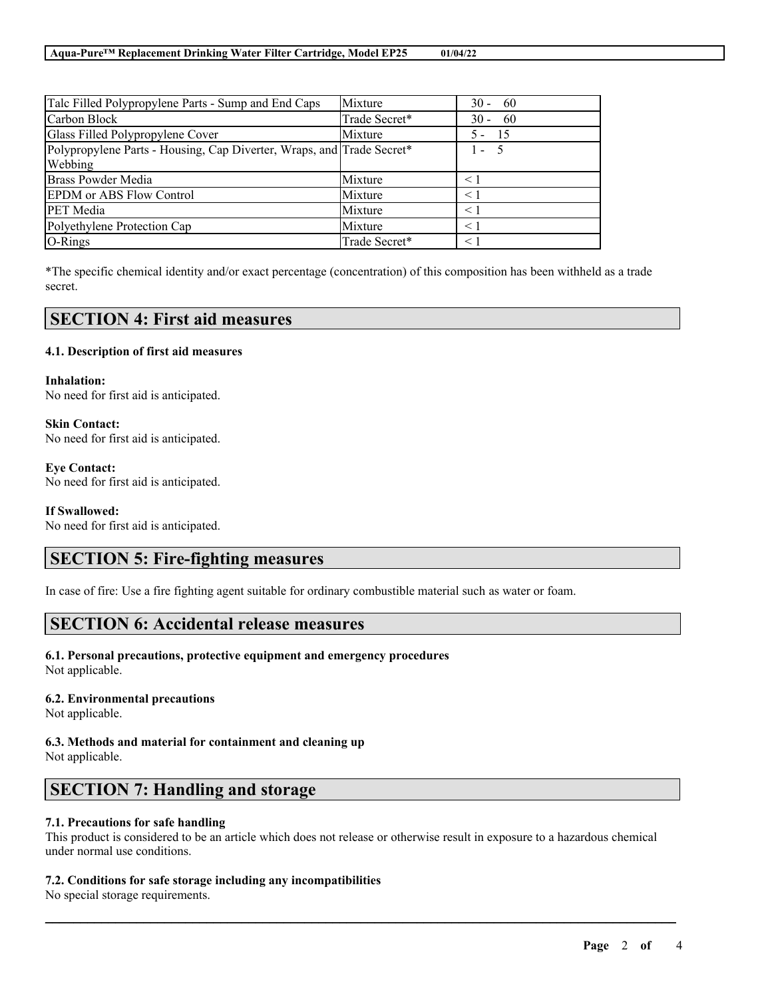| Talc Filled Polypropylene Parts - Sump and End Caps                   | Mixture       | $30 - 60$     |
|-----------------------------------------------------------------------|---------------|---------------|
| Carbon Block                                                          | Trade Secret* | $30 - 60$     |
| Glass Filled Polypropylene Cover                                      | Mixture       | - 15<br>$5 -$ |
| Polypropylene Parts - Housing, Cap Diverter, Wraps, and Trade Secret* |               | $1 - 5$       |
| Webbing                                                               |               |               |
| <b>Brass Powder Media</b>                                             | Mixture       | $\leq 1$      |
| <b>EPDM</b> or ABS Flow Control                                       | Mixture       | $\leq 1$      |
| <b>PET</b> Media                                                      | Mixture       | $\leq$ 1      |
| Polyethylene Protection Cap                                           | Mixture       | $\leq 1$      |
| O-Rings                                                               | Trade Secret* | $\leq$ 1      |

\*The specific chemical identity and/or exact percentage (concentration) of this composition has been withheld as a trade secret.

### **SECTION 4: First aid measures**

#### **4.1. Description of first aid measures**

**Inhalation:** No need for first aid is anticipated.

**Skin Contact:** No need for first aid is anticipated.

**Eye Contact:** No need for first aid is anticipated.

#### **If Swallowed:**

No need for first aid is anticipated.

## **SECTION 5: Fire-fighting measures**

In case of fire: Use a fire fighting agent suitable for ordinary combustible material such as water or foam.

### **SECTION 6: Accidental release measures**

### **6.1. Personal precautions, protective equipment and emergency procedures**

Not applicable.

#### **6.2. Environmental precautions**

Not applicable.

#### **6.3. Methods and material for containment and cleaning up** Not applicable.

## **SECTION 7: Handling and storage**

#### **7.1. Precautions for safe handling**

This product is considered to be an article which does not release or otherwise result in exposure to a hazardous chemical under normal use conditions.

 $\mathcal{L}_\mathcal{L} = \mathcal{L}_\mathcal{L} = \mathcal{L}_\mathcal{L} = \mathcal{L}_\mathcal{L} = \mathcal{L}_\mathcal{L} = \mathcal{L}_\mathcal{L} = \mathcal{L}_\mathcal{L} = \mathcal{L}_\mathcal{L} = \mathcal{L}_\mathcal{L} = \mathcal{L}_\mathcal{L} = \mathcal{L}_\mathcal{L} = \mathcal{L}_\mathcal{L} = \mathcal{L}_\mathcal{L} = \mathcal{L}_\mathcal{L} = \mathcal{L}_\mathcal{L} = \mathcal{L}_\mathcal{L} = \mathcal{L}_\mathcal{L}$ 

#### **7.2. Conditions for safe storage including any incompatibilities**

No special storage requirements.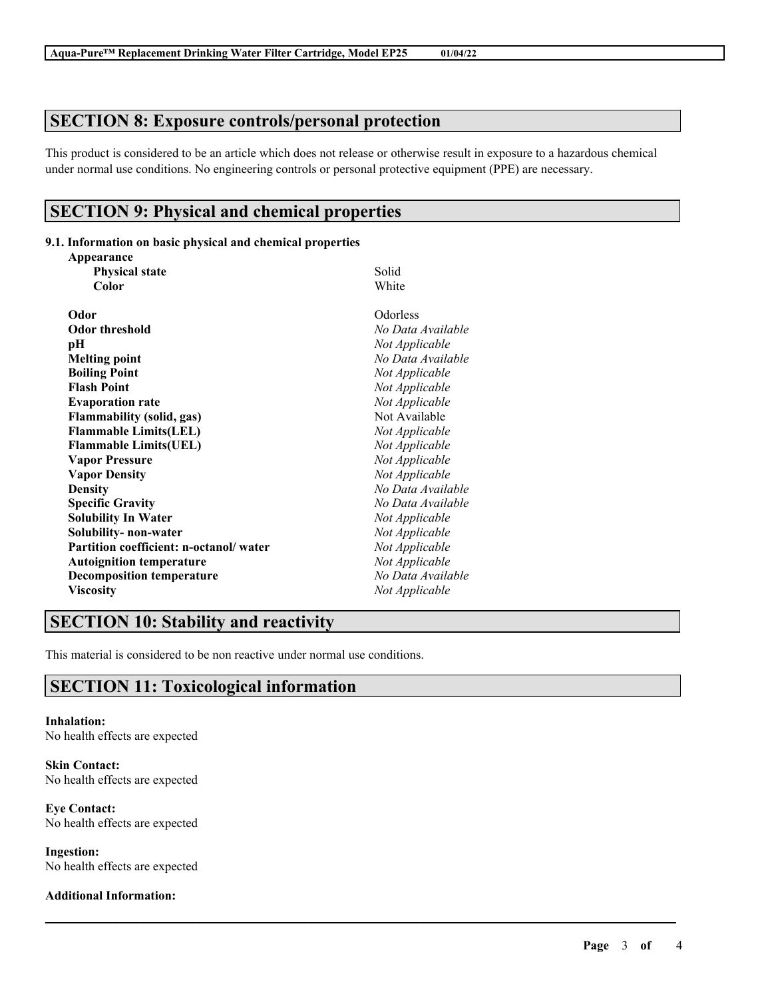## **SECTION 8: Exposure controls/personal protection**

This product is considered to be an article which does not release or otherwise result in exposure to a hazardous chemical under normal use conditions. No engineering controls or personal protective equipment (PPE) are necessary.

 $\mathcal{L}_\mathcal{L} = \mathcal{L}_\mathcal{L} = \mathcal{L}_\mathcal{L} = \mathcal{L}_\mathcal{L} = \mathcal{L}_\mathcal{L} = \mathcal{L}_\mathcal{L} = \mathcal{L}_\mathcal{L} = \mathcal{L}_\mathcal{L} = \mathcal{L}_\mathcal{L} = \mathcal{L}_\mathcal{L} = \mathcal{L}_\mathcal{L} = \mathcal{L}_\mathcal{L} = \mathcal{L}_\mathcal{L} = \mathcal{L}_\mathcal{L} = \mathcal{L}_\mathcal{L} = \mathcal{L}_\mathcal{L} = \mathcal{L}_\mathcal{L}$ 

## **SECTION 9: Physical and chemical properties**

#### **9.1. Information on basic physical and chemical properties**

| Appearance                             |                   |
|----------------------------------------|-------------------|
| <b>Physical state</b>                  | Solid             |
| Color                                  | White             |
| Odor                                   | Odorless          |
| <b>Odor threshold</b>                  | No Data Available |
| pН                                     | Not Applicable    |
| <b>Melting point</b>                   | No Data Available |
| <b>Boiling Point</b>                   | Not Applicable    |
| <b>Flash Point</b>                     | Not Applicable    |
| <b>Evaporation rate</b>                | Not Applicable    |
| <b>Flammability (solid, gas)</b>       | Not Available     |
| <b>Flammable Limits(LEL)</b>           | Not Applicable    |
| <b>Flammable Limits(UEL)</b>           | Not Applicable    |
| <b>Vapor Pressure</b>                  | Not Applicable    |
| <b>Vapor Density</b>                   | Not Applicable    |
| <b>Density</b>                         | No Data Available |
| <b>Specific Gravity</b>                | No Data Available |
| <b>Solubility In Water</b>             | Not Applicable    |
| Solubility- non-water                  | Not Applicable    |
| Partition coefficient: n-octanol/water | Not Applicable    |
| <b>Autoignition temperature</b>        | Not Applicable    |
| <b>Decomposition temperature</b>       | No Data Available |
| <b>Viscosity</b>                       | Not Applicable    |

# **SECTION 10: Stability and reactivity**

This material is considered to be non reactive under normal use conditions.

# **SECTION 11: Toxicological information**

**Inhalation:** No health effects are expected

**Skin Contact:** No health effects are expected

**Eye Contact:** No health effects are expected

**Ingestion:** No health effects are expected

#### **Additional Information:**